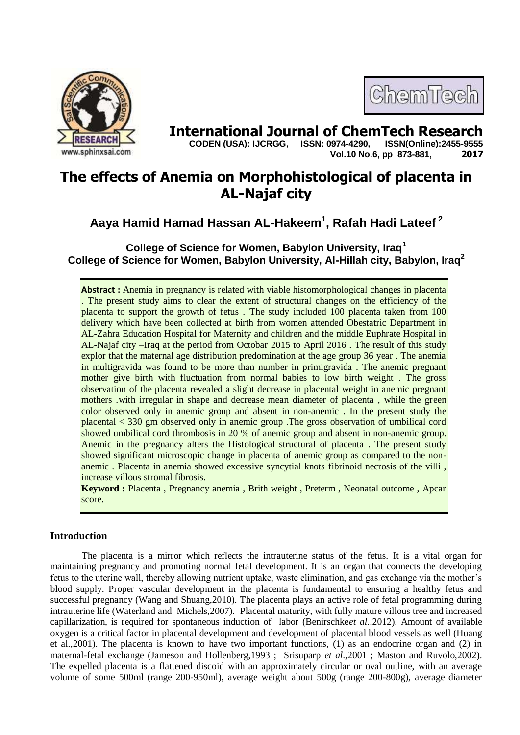

# **International Journal of ChemTech Research copen (USA): IJCRGG.** ISSN: 0974-4290. ISSN(Online):2455-9555

 **CODEN (USA): IJCRGG, ISSN: 0974-4290, Vol.10 No.6, pp 873-881, 2017**

ChemTech

## **The effects of Anemia on Morphohistological of placenta in AL-Najaf city**

**Aaya Hamid Hamad Hassan AL-Hakeem<sup>1</sup> , Rafah Hadi Lateef <sup>2</sup>**

**College of Science for Women, Babylon University, Iraq<sup>1</sup> College of Science for Women, Babylon University, Al-Hillah city, Babylon, Iraq<sup>2</sup>**

**Abstract :** Anemia in pregnancy is related with viable histomorphological changes in placenta . The present study aims to clear the extent of structural changes on the efficiency of the placenta to support the growth of fetus . The study included 100 placenta taken from 100 delivery which have been collected at birth from women attended Obestatric Department in AL-Zahra Education Hospital for Maternity and children and the middle Euphrate Hospital in AL-Najaf city –Iraq at the period from Octobar 2015 to April 2016 . The result of this study explor that the maternal age distribution predomination at the age group 36 year . The anemia in multigravida was found to be more than number in primigravida . The anemic pregnant mother give birth with fluctuation from normal babies to low birth weight . The gross observation of the placenta revealed a slight decrease in placental weight in anemic pregnant mothers .with irregular in shape and decrease mean diameter of placenta , while the green color observed only in anemic group and absent in non-anemic . In the present study the placental < 330 gm observed only in anemic group .The gross observation of umbilical cord showed umbilical cord thrombosis in 20 % of anemic group and absent in non-anemic group. Anemic in the pregnancy alters the Histological structural of placenta . The present study showed significant microscopic change in placenta of anemic group as compared to the nonanemic . Placenta in anemia showed excessive syncytial knots fibrinoid necrosis of the villi , increase villous stromal fibrosis.

**Keyword :** Placenta , Pregnancy anemia , Brith weight , Preterm , Neonatal outcome , Apcar score.

### **Introduction**

The placenta is a mirror which reflects the intrauterine status of the fetus. It is a vital organ for maintaining pregnancy and promoting normal fetal development. It is an organ that connects the developing fetus to the uterine wall, thereby allowing nutrient uptake, waste elimination, and gas exchange via the mother's blood supply. Proper vascular development in the placenta is fundamental to ensuring a healthy fetus and successful pregnancy (Wang and Shuang,2010). The placenta plays an active role of fetal programming during intrauterine life (Waterland and Michels,2007). Placental maturity, with fully mature villous tree and increased capillarization, is required for spontaneous induction of labor (Benirschke*et al*.,2012). Amount of available oxygen is a critical factor in placental development and development of placental blood vessels as well (Huang et al.,2001). The placenta is known to have two important functions, (1) as an endocrine organ and (2) in maternal-fetal exchange (Jameson and Hollenberg,1993 ; Srisuparp *et al*.,2001 ; Maston and Ruvolo,2002). The expelled placenta is a flattened discoid with an approximately circular or oval outline, with an average volume of some 500ml (range 200-950ml), average weight about 500g (range 200-800g), average diameter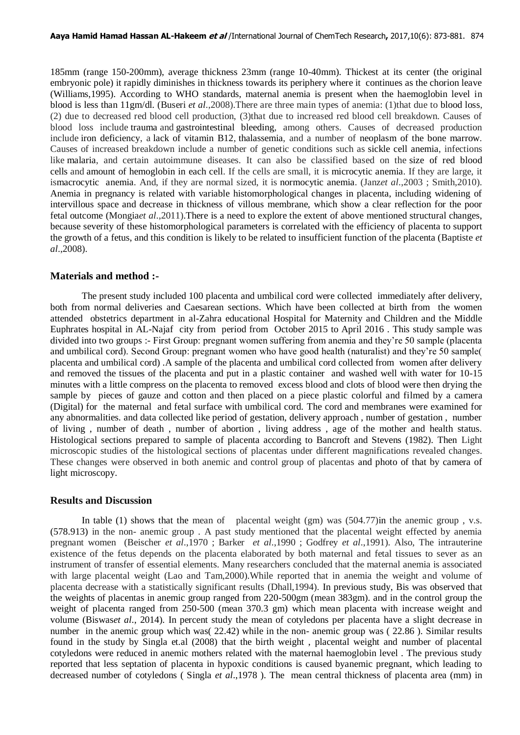185mm (range 150-200mm), average thickness 23mm (range 10-40mm). Thickest at its center (the original embryonic pole) it rapidly diminishes in thickness towards its periphery where it continues as the chorion leave (Williams,1995). According to WHO standards, maternal anemia is present when the haemoglobin level in blood is less than 11gm/dl. (Buseri *et al*.,2008).There are three main types of anemia: (1)that due to blood loss, (2) due to decreased red blood cell production, (3)that due to increased red blood cell breakdown. Causes of blood loss include trauma and gastrointestinal bleeding, among others. Causes of decreased production include iron deficiency, a lack of vitamin B12, thalassemia, and a number of neoplasm of the bone marrow. Causes of increased breakdown include a number of genetic conditions such as sickle cell anemia, infections like malaria, and certain autoimmune diseases. It can also be classified based on the size of red blood cells and amount of hemoglobin in each cell. If the cells are small, it is microcytic anemia. If they are large, it ismacrocytic anemia. And, if they are normal sized, it is normocytic anemia. (Janz*et al*.,2003 ; Smith,2010). Anemia in pregnancy is related with variable histomorphological changes in placenta, including widening of intervillous space and decrease in thickness of villous membrane, which show a clear reflection for the poor fetal outcome (Mongia*et al*.,2011).There is a need to explore the extent of above mentioned structural changes, because severity of these histomorphological parameters is correlated with the efficiency of placenta to support the growth of a fetus, and this condition is likely to be related to insufficient function of the placenta (Baptiste *et al*.,2008).

#### **Materials and method :-**

The present study included 100 placenta and umbilical cord were collected immediately after delivery, both from normal deliveries and Caesarean sections. Which have been collected at birth from the women attended obstetrics department in al-Zahra educational Hospital for Maternity and Children and the Middle Euphrates hospital in AL-Najaf city from period from October 2015 to April 2016 . This study sample was divided into two groups :- First Group: pregnant women suffering from anemia and they're 50 sample (placenta and umbilical cord). Second Group: pregnant women who have good health (naturalist) and they're 50 sample( placenta and umbilical cord) .A sample of the placenta and umbilical cord collected from women after delivery and removed the tissues of the placenta and put in a plastic container and washed well with water for 10-15 minutes with a little compress on the placenta to removed excess blood and clots of blood were then drying the sample by pieces of gauze and cotton and then placed on a piece plastic colorful and filmed by a camera (Digital) for the maternal and fetal surface with umbilical cord. The cord and membranes were examined for any abnormalities. and data collected like period of gestation, delivery approach , number of gestation , number of living , number of death , number of abortion , living address , age of the mother and health status. Histological sections prepared to sample of placenta according to Bancroft and Stevens (1982). Then Light microscopic studies of the histological sections of placentas under different magnifications revealed changes. These changes were observed in both anemic and control group of placentas and photo of that by camera of light microscopy.

#### **Results and Discussion**

In table (1) shows that the mean of placental weight (gm) was  $(504.77)$  in the anemic group, v.s. (578.913) in the non- anemic group . A past study mentioned that the placental weight effected by anemia pregnant women (Beischer *et al*.,1970 ; Barker *et al*.,1990 ; Godfrey *et al*.,1991). Also, The intrauterine existence of the fetus depends on the placenta elaborated by both maternal and fetal tissues to sever as an instrument of transfer of essential elements. Many researchers concluded that the maternal anemia is associated with large placental weight (Lao and Tam,2000).While reported that in anemia the weight and volume of placenta decrease with a statistically significant results (Dhall,1994). In previous study, Bis was observed that the weights of placentas in anemic group ranged from 220-500gm (mean 383gm). and in the control group the weight of placenta ranged from 250-500 (mean 370.3 gm) which mean placenta with increase weight and volume (Biswas*et al*., 2014). In percent study the mean of cotyledons per placenta have a slight decrease in number in the anemic group which was( 22.42) while in the non- anemic group was ( 22.86 ). Similar results found in the study by Singla et.al (2008) that the birth weight , placental weight and number of placental cotyledons were reduced in anemic mothers related with the maternal haemoglobin level . The previous study reported that less septation of placenta in hypoxic conditions is caused byanemic pregnant, which leading to decreased number of cotyledons ( Singla *et al*.,1978 ). The mean central thickness of placenta area (mm) in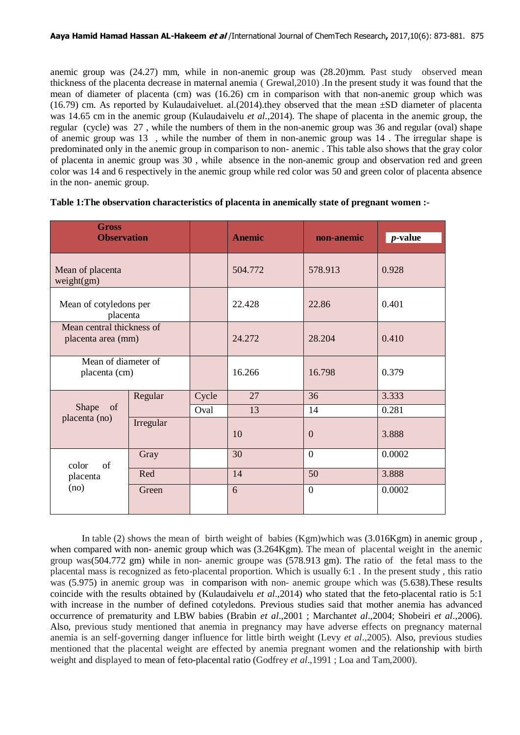anemic group was (24.27) mm, while in non-anemic group was (28.20)mm. Past study observed mean thickness of the placenta decrease in maternal anemia ( Grewal,2010) .In the present study it was found that the mean of diameter of placenta (cm) was (16.26) cm in comparison with that non-anemic group which was (16.79) cm. As reported by Kulaudaiveluet. al.(2014).they observed that the mean  $\pm SD$  diameter of placenta was 14.65 cm in the anemic group (Kulaudaivelu *et al*.,2014). The shape of placenta in the anemic group, the regular (cycle) was 27 , while the numbers of them in the non-anemic group was 36 and regular (oval) shape of anemic group was 13 , while the number of them in non-anemic group was 14 . The irregular shape is predominated only in the anemic group in comparison to non- anemic . This table also shows that the gray color of placenta in anemic group was 30 , while absence in the non-anemic group and observation red and green color was 14 and 6 respectively in the anemic group while red color was 50 and green color of placenta absence in the non- anemic group.

| <b>Gross</b><br><b>Observation</b>              |           |       | <b>Anemic</b> | non-anemic     | <i>p</i> -value |
|-------------------------------------------------|-----------|-------|---------------|----------------|-----------------|
| Mean of placenta<br>weight(gm)                  |           |       | 504.772       | 578.913        | 0.928           |
| Mean of cotyledons per<br>placenta              |           |       | 22.428        | 22.86          | 0.401           |
| Mean central thickness of<br>placenta area (mm) |           |       | 24.272        | 28.204         | 0.410           |
| Mean of diameter of<br>placenta (cm)            |           |       | 16.266        | 16.798         | 0.379           |
| Shape<br>of<br>placenta (no)                    | Regular   | Cycle | 27            | 36             | 3.333           |
|                                                 |           | Oval  | 13            | 14             | 0.281           |
|                                                 | Irregular |       | 10            | $\mathbf{0}$   | 3.888           |
| color<br>of<br>placenta<br>(no)                 | Gray      |       | 30            | $\overline{0}$ | 0.0002          |
|                                                 | Red       |       | 14            | 50             | 3.888           |
|                                                 | Green     |       | 6             | $\overline{0}$ | 0.0002          |

#### **Table 1:The observation characteristics of placenta in anemically state of pregnant women :-**

In table (2) shows the mean of birth weight of babies (Kgm)which was (3.016Kgm) in anemic group , when compared with non- anemic group which was (3.264Kgm). The mean of placental weight in the anemic group was(504.772 gm) while in non- anemic groupe was (578.913 gm). The ratio of the fetal mass to the placental mass is recognized as feto-placental proportion. Which is usually 6:1 . In the present study , this ratio was (5.975) in anemic group was in comparison with non- anemic groupe which was (5.638).These results coincide with the results obtained by (Kulaudaivelu *et al*.,2014) who stated that the feto-placental ratio is 5:1 with increase in the number of defined cotyledons. Previous studies said that mother anemia has advanced occurrence of prematurity and LBW babies (Brabin *et al*.,2001 ; Marchant*et al*.,2004; Shobeiri *et al*.,2006). Also, previous study mentioned that anemia in pregnancy may have adverse effects on pregnancy maternal anemia is an self-governing danger influence for little birth weight (Levy *et al*.,2005). Also, previous studies mentioned that the placental weight are effected by anemia pregnant women and the relationship with birth weight and displayed to mean of feto-placental ratio (Godfrey *et al*.,1991 ; Loa and Tam,2000).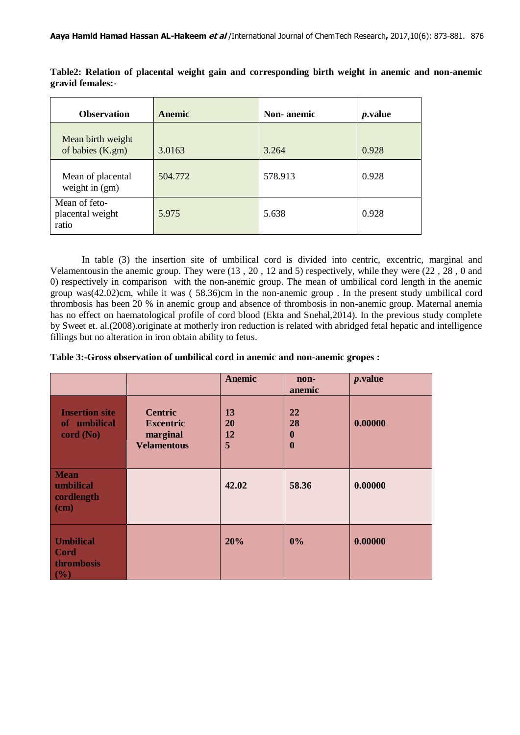| <b>Observation</b>                         | Anemic  | Non-anemic | <i>p</i> .value |
|--------------------------------------------|---------|------------|-----------------|
| Mean birth weight<br>of babies (K.gm)      | 3.0163  | 3.264      | 0.928           |
| Mean of placental<br>weight in (gm)        | 504.772 | 578.913    | 0.928           |
| Mean of feto-<br>placental weight<br>ratio | 5.975   | 5.638      | 0.928           |

**Table2: Relation of placental weight gain and corresponding birth weight in anemic and non-anemic gravid females:-**

In table (3) the insertion site of umbilical cord is divided into centric, excentric, marginal and Velamentousin the anemic group. They were (13 , 20 , 12 and 5) respectively, while they were (22 , 28 , 0 and 0) respectively in comparison with the non-anemic group. The mean of umbilical cord length in the anemic group was(42.02)cm, while it was ( 58.36)cm in the non-anemic group . In the present study umbilical cord thrombosis has been 20 % in anemic group and absence of thrombosis in non-anemic group. Maternal anemia has no effect on haematological profile of cord blood (Ekta and Snehal,2014). In the previous study complete by Sweet et. al.(2008).originate at motherly iron reduction is related with abridged fetal hepatic and intelligence fillings but no alteration in iron obtain ability to fetus.

**Table 3:-Gross observation of umbilical cord in anemic and non-anemic gropes :**

|                                                                      |                                                                      | <b>Anemic</b>       | non-<br>anemic                   | $p$ .value |
|----------------------------------------------------------------------|----------------------------------------------------------------------|---------------------|----------------------------------|------------|
| <b>Insertion site</b><br>of umbilical<br>cord (No)                   | <b>Centric</b><br><b>Excentric</b><br>marginal<br><b>Velamentous</b> | 13<br>20<br>12<br>5 | 22<br>28<br>$\bf{0}$<br>$\bf{0}$ | 0.00000    |
| <b>Mean</b><br>umbilical<br>cordlength<br>$\overline{(\mathbf{cm})}$ |                                                                      | 42.02               | 58.36                            | 0.00000    |
| <b>Umbilical</b><br><b>Cord</b><br>thrombosis<br>$\mid$ (%)          |                                                                      | 20%                 | 0%                               | 0.00000    |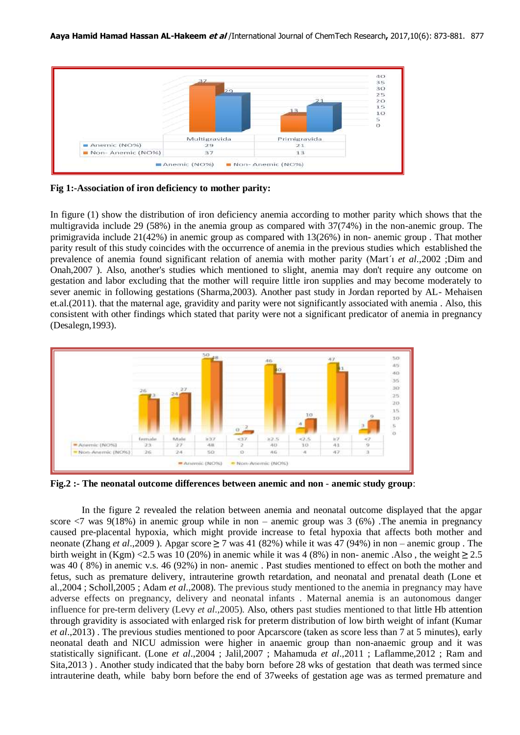

**Fig 1:-Association of iron deficiency to mother parity:** 

In figure (1) show the distribution of iron deficiency anemia according to mother parity which shows that the multigravida include 29 (58%) in the anemia group as compared with 37(74%) in the non-anemic group. The primigravida include 21(42%) in anemic group as compared with 13(26%) in non- anemic group . That mother parity result of this study coincides with the occurrence of anemia in the previous studies which established the prevalence of anemia found significant relation of anemia with mother parity (Mart´ı *et al*.,2002 ;Dim and Onah,2007 ). Also, another's studies which mentioned to slight, anemia may don't require any outcome on gestation and labor excluding that the mother will require little iron supplies and may become moderately to sever anemic in following gestations (Sharma,2003). Another past study in Jordan reported by AL- Mehaisen et.al.(2011). that the maternal age, gravidity and parity were not significantly associated with anemia . Also, this consistent with other findings which stated that parity were not a significant predicator of anemia in pregnancy (Desalegn,1993).



**Fig.2 :- The neonatal outcome differences between anemic and non** - **anemic study group**:

In the figure 2 revealed the relation between anemia and neonatal outcome displayed that the apgar score  $\langle 7 \rangle$  was 9(18%) in anemic group while in non – anemic group was 3 (6%). The anemia in pregnancy caused pre-placental hypoxia, which might provide increase to fetal hypoxia that affects both mother and neonate (Zhang *et al*.,2009 ). Apgar score **≥** 7 was 41 (82%) while it was 47 (94%) in non – anemic group . The birth weight in (Kgm) <2.5 was 10 (20%) in anemic while it was 4 (8%) in non- anemic .Also , the weight **≥** 2.5 was 40 ( 8%) in anemic v.s. 46 (92%) in non- anemic . Past studies mentioned to effect on both the mother and fetus, such as premature delivery, intrauterine growth retardation, and neonatal and prenatal death (Lone et al.,2004 ; Scholl,2005 ; Adam *et al*.,2008). The previous study mentioned to the anemia in pregnancy may have adverse effects on pregnancy, delivery and neonatal infants . Maternal anemia is an autonomous danger influence for pre-term delivery (Levy *et al*.,2005). Also, others past studies mentioned to that little Hb attention through gravidity is associated with enlarged risk for preterm distribution of low birth weight of infant (Kumar *et al*.,2013) . The previous studies mentioned to poor Apcarscore (taken as score less than 7 at 5 minutes), early neonatal death and NICU admission were higher in anaemic group than non-anaemic group and it was statistically significant. (Lone *et al*.,2004 ; Jalil,2007 ; Mahamuda *et al*.,2011 ; Laflamme,2012 ; Ram and Sita,2013 ) . Another study indicated that the baby born before 28 wks of gestation that death was termed since intrauterine death, while baby born before the end of 37weeks of gestation age was as termed premature and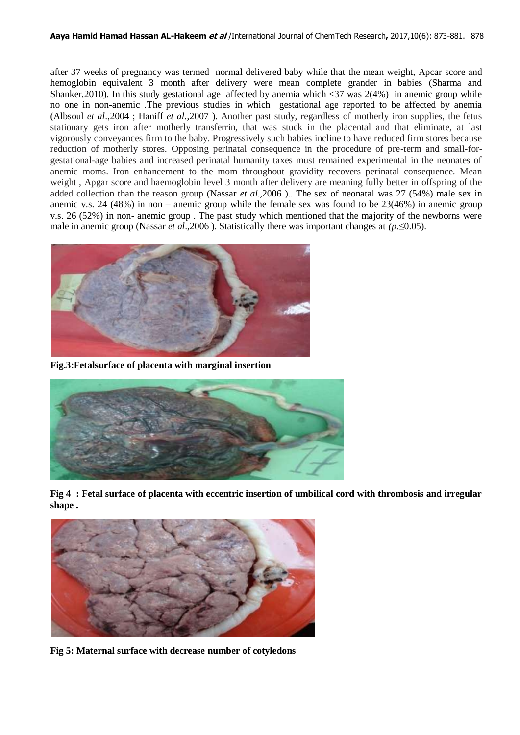after 37 weeks of pregnancy was termed normal delivered baby while that the mean weight, Apcar score and hemoglobin equivalent 3 month after delivery were mean complete grander in babies (Sharma and Shanker, 2010). In this study gestational age affected by anemia which  $\langle 37 \rangle$  was  $2(4%)$  in anemic group while no one in non-anemic .The previous studies in which gestational age reported to be affected by anemia (Albsoul *et al*.,2004 ; Haniff *et al*.,2007 ). Another past study, regardless of motherly iron supplies, the fetus stationary gets iron after motherly transferrin, that was stuck in the placental and that eliminate, at last vigorously conveyances firm to the baby. Progressively such babies incline to have reduced firm stores because reduction of motherly stores. Opposing perinatal consequence in the procedure of pre-term and small-forgestational-age babies and increased perinatal humanity taxes must remained experimental in the neonates of anemic moms. Iron enhancement to the mom throughout gravidity recovers perinatal consequence. Mean weight , Apgar score and haemoglobin level 3 month after delivery are meaning fully better in offspring of the added collection than the reason group (Nassar *et al*.,2006 ).. The sex of neonatal was 27 (54%) male sex in anemic v.s. 24 (48%) in non – anemic group while the female sex was found to be 23(46%) in anemic group v.s. 26 (52%) in non- anemic group . The past study which mentioned that the majority of the newborns were male in anemic group (Nassar *et al*.,2006 ). Statistically there was important changes at *(p*.≤0.05).



**Fig.3:Fetalsurface of placenta with marginal insertion**



**Fig 4 : Fetal surface of placenta with eccentric insertion of umbilical cord with thrombosis and irregular shape .**



**Fig 5: Maternal surface with decrease number of cotyledons**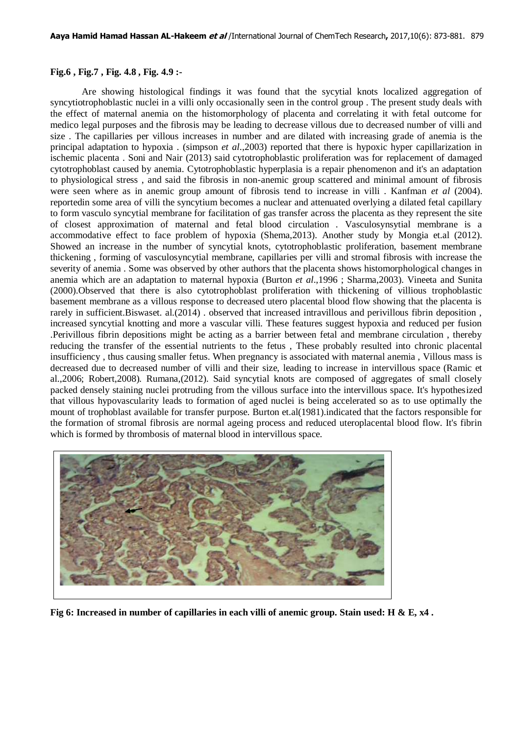#### **Fig.6 , Fig.7 , Fig. 4.8 , Fig. 4.9 :-**

Are showing histological findings it was found that the sycytial knots localized aggregation of syncytiotrophoblastic nuclei in a villi only occasionally seen in the control group . The present study deals with the effect of maternal anemia on the histomorphology of placenta and correlating it with fetal outcome for medico legal purposes and the fibrosis may be leading to decrease villous due to decreased number of villi and size . The capillaries per villous increases in number and are dilated with increasing grade of anemia is the principal adaptation to hypoxia . (simpson *et al*.,2003) reported that there is hypoxic hyper capillarization in ischemic placenta . Soni and Nair (2013) said cytotrophoblastic proliferation was for replacement of damaged cytotrophoblast caused by anemia. Cytotrophoblastic hyperplasia is a repair phenomenon and it's an adaptation to physiological stress , and said the fibrosis in non-anemic group scattered and minimal amount of fibrosis were seen where as in anemic group amount of fibrosis tend to increase in villi . Kanfman *et al* (2004). reportedin some area of villi the syncytium becomes a nuclear and attenuated overlying a dilated fetal capillary to form vasculo syncytial membrane for facilitation of gas transfer across the placenta as they represent the site of closest approximation of maternal and fetal blood circulation . Vasculosynsytial membrane is a accommodative effect to face problem of hypoxia (Shema,2013). Another study by Mongia et.al (2012). Showed an increase in the number of syncytial knots, cytotrophoblastic proliferation, basement membrane thickening , forming of vasculosyncytial membrane, capillaries per villi and stromal fibrosis with increase the severity of anemia . Some was observed by other authors that the placenta shows histomorphological changes in anemia which are an adaptation to maternal hypoxia (Burton *et al*.,1996 ; Sharma,2003). Vineeta and Sunita (2000).Observed that there is also cytotrophoblast proliferation with thickening of villious trophoblastic basement membrane as a villous response to decreased utero placental blood flow showing that the placenta is rarely in sufficient.Biswaset. al.(2014) . observed that increased intravillous and perivillous fibrin deposition , increased syncytial knotting and more a vascular villi. These features suggest hypoxia and reduced per fusion .Perivillous fibrin depositions might be acting as a barrier between fetal and membrane circulation , thereby reducing the transfer of the essential nutrients to the fetus , These probably resulted into chronic placental insufficiency , thus causing smaller fetus. When pregnancy is associated with maternal anemia , Villous mass is decreased due to decreased number of villi and their size, leading to increase in intervillous space (Ramic et al.,2006; Robert,2008). Rumana,(2012). Said syncytial knots are composed of aggregates of small closely packed densely staining nuclei protruding from the villous surface into the intervillous space. It's hypothesized that villous hypovascularity leads to formation of aged nuclei is being accelerated so as to use optimally the mount of trophoblast available for transfer purpose. Burton et.al(1981).indicated that the factors responsible for the formation of stromal fibrosis are normal ageing process and reduced uteroplacental blood flow. It's fibrin which is formed by thrombosis of maternal blood in intervillous space.



**Fig 6: Increased in number of capillaries in each villi of anemic group. Stain used: H & E, x4 .**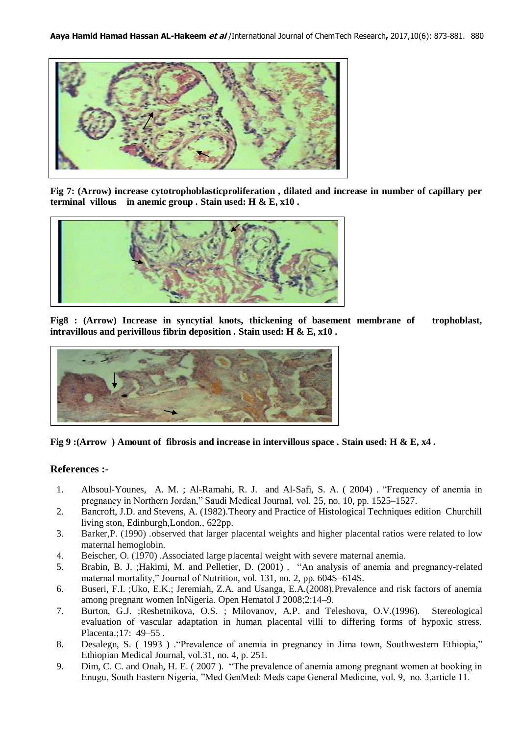

**Fig 7: (Arrow) increase cytotrophoblasticproliferation , dilated and increase in number of capillary per terminal villous in anemic group . Stain used: H & E, x10 .**



**Fig8 : (Arrow) Increase in syncytial knots, thickening of basement membrane of trophoblast, intravillous and perivillous fibrin deposition . Stain used: H & E, x10 .**



**Fig 9 :(Arrow ) Amount of fibrosis and increase in intervillous space . Stain used: H & E, x4 .**

#### **References :-**

- 1. Albsoul-Younes, A. M. ; Al-Ramahi, R. J. and Al-Safi, S. A. ( 2004) . "Frequency of anemia in pregnancy in Northern Jordan," Saudi Medical Journal, vol. 25, no. 10, pp. 1525–1527.
- 2. Bancroft, J.D. and Stevens, A. (1982).Theory and Practice of Histological Techniques edition Churchill living ston, Edinburgh,London., 622pp.
- 3. Barker,P. (1990) .observed that larger placental weights and higher placental ratios were related to low maternal hemoglobin.
- 4. Beischer, O. (1970) .Associated large placental weight with severe maternal anemia.
- 5. Brabin, B. J. ;Hakimi, M. and Pelletier, D. (2001) . "An analysis of anemia and pregnancy-related maternal mortality," Journal of Nutrition, vol. 131, no. 2, pp. 604S–614S.
- 6. Buseri, F.I. ;Uko, E.K.; Jeremiah, Z.A. and Usanga, E.A.(2008).Prevalence and risk factors of anemia among pregnant women InNigeria. Open Hematol J 2008;2:14–9.
- 7. Burton, G.J. ;Reshetnikova, O.S. ; Milovanov, A.P. and Teleshova, O.V.(1996). Stereological evaluation of vascular adaptation in human placental villi to differing forms of hypoxic stress. Placenta.;17: 49–55 .
- 8. Desalegn, S. ( 1993 ) ."Prevalence of anemia in pregnancy in Jima town, Southwestern Ethiopia," Ethiopian Medical Journal, vol.31, no. 4, p. 251.
- 9. Dim, C. C. and Onah, H. E. ( 2007 ). "The prevalence of anemia among pregnant women at booking in Enugu, South Eastern Nigeria, "Med GenMed: Meds cape General Medicine, vol. 9, no. 3,article 11.